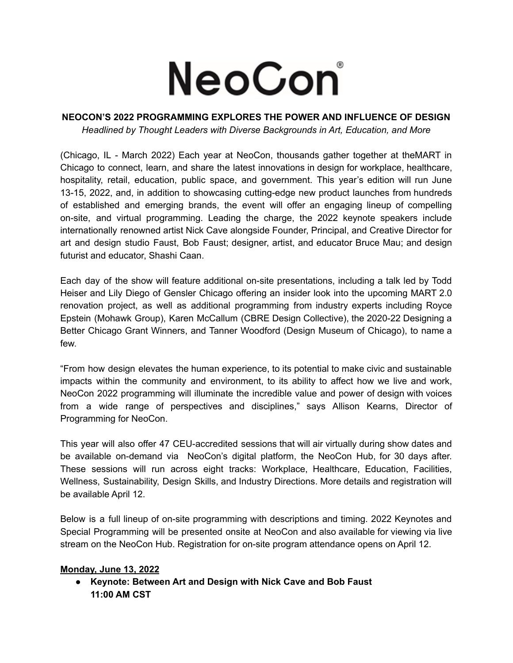# NeoCon®

### **NEOCON'S 2022 PROGRAMMING EXPLORES THE POWER AND INFLUENCE OF DESIGN** *Headlined by Thought Leaders with Diverse Backgrounds in Art, Education, and More*

(Chicago, IL - March 2022) Each year at NeoCon, thousands gather together at theMART in Chicago to connect, learn, and share the latest innovations in design for workplace, healthcare, hospitality, retail, education, public space, and government. This year's edition will run June 13-15, 2022, and, in addition to showcasing cutting-edge new product launches from hundreds of established and emerging brands, the event will offer an engaging lineup of compelling on-site, and virtual programming. Leading the charge, the 2022 keynote speakers include internationally renowned artist Nick Cave alongside Founder, Principal, and Creative Director for art and design studio Faust, Bob Faust; designer, artist, and educator Bruce Mau; and design futurist and educator, Shashi Caan.

Each day of the show will feature additional on-site presentations, including a talk led by Todd Heiser and Lily Diego of Gensler Chicago offering an insider look into the upcoming MART 2.0 renovation project, as well as additional programming from industry experts including Royce Epstein (Mohawk Group), Karen McCallum (CBRE Design Collective), the 2020-22 Designing a Better Chicago Grant Winners, and Tanner Woodford (Design Museum of Chicago), to name a few.

"From how design elevates the human experience, to its potential to make civic and sustainable impacts within the community and environment, to its ability to affect how we live and work, NeoCon 2022 programming will illuminate the incredible value and power of design with voices from a wide range of perspectives and disciplines," says Allison Kearns, Director of Programming for NeoCon.

This year will also offer 47 CEU-accredited sessions that will air virtually during show dates and be available on-demand via NeoCon's digital platform, the NeoCon Hub, for 30 days after. These sessions will run across eight tracks: Workplace, Healthcare, Education, Facilities, Wellness, Sustainability, Design Skills, and Industry Directions. More details and registration will be available April 12.

Below is a full lineup of on-site programming with descriptions and timing. 2022 Keynotes and Special Programming will be presented onsite at NeoCon and also available for viewing via live stream on the NeoCon Hub. Registration for on-site program attendance opens on April 12.

# **Monday, June 13, 2022**

**● Keynote: Between Art and Design with Nick Cave and Bob Faust 11:00 AM CST**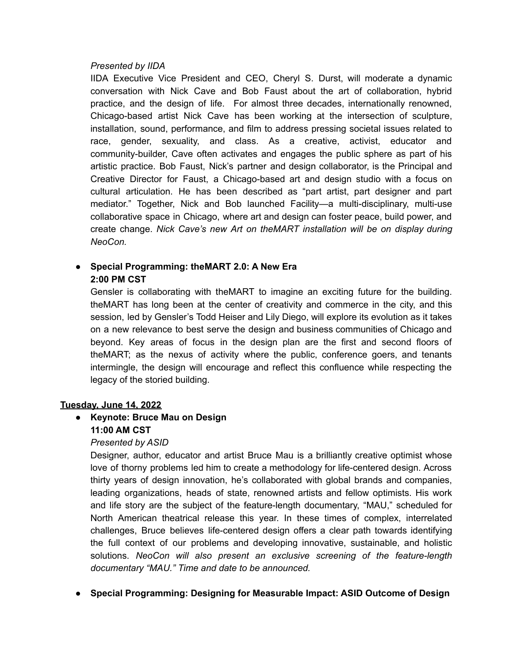#### *Presented by IIDA*

IIDA Executive Vice President and CEO, Cheryl S. Durst, will moderate a dynamic conversation with Nick Cave and Bob Faust about the art of collaboration, hybrid practice, and the design of life. For almost three decades, internationally renowned, Chicago-based artist Nick Cave has been working at the intersection of sculpture, installation, sound, performance, and film to address pressing societal issues related to race, gender, sexuality, and class. As a creative, activist, educator and community-builder, Cave often activates and engages the public sphere as part of his artistic practice. Bob Faust, Nick's partner and design collaborator, is the Principal and Creative Director for Faust, a Chicago-based art and design studio with a focus on cultural articulation. He has been described as "part artist, part designer and part mediator." Together, Nick and Bob launched Facility—a multi-disciplinary, multi-use collaborative space in Chicago, where art and design can foster peace, build power, and create change. *Nick Cave's new Art on theMART installation will be on display during NeoCon.*

# **● Special Programming: theMART 2.0: A New Era 2:00 PM CST**

Gensler is collaborating with theMART to imagine an exciting future for the building. theMART has long been at the center of creativity and commerce in the city, and this session, led by Gensler's Todd Heiser and Lily Diego, will explore its evolution as it takes on a new relevance to best serve the design and business communities of Chicago and beyond. Key areas of focus in the design plan are the first and second floors of theMART; as the nexus of activity where the public, conference goers, and tenants intermingle, the design will encourage and reflect this confluence while respecting the legacy of the storied building.

## **Tuesday, June 14, 2022**

# ● **Keynote: Bruce Mau on Design 11:00 AM CST**

## *Presented by ASID*

Designer, author, educator and artist Bruce Mau is a brilliantly creative optimist whose love of thorny problems led him to create a methodology for life-centered design. Across thirty years of design innovation, he's collaborated with global brands and companies, leading organizations, heads of state, renowned artists and fellow optimists. His work and life story are the subject of the feature-length documentary, "MAU," scheduled for North American theatrical release this year. In these times of complex, interrelated challenges, Bruce believes life-centered design offers a clear path towards identifying the full context of our problems and developing innovative, sustainable, and holistic solutions. *NeoCon will also present an exclusive screening of the feature-length documentary "MAU." Time and date to be announced.*

● **Special Programming: Designing for Measurable Impact: ASID Outcome of Design**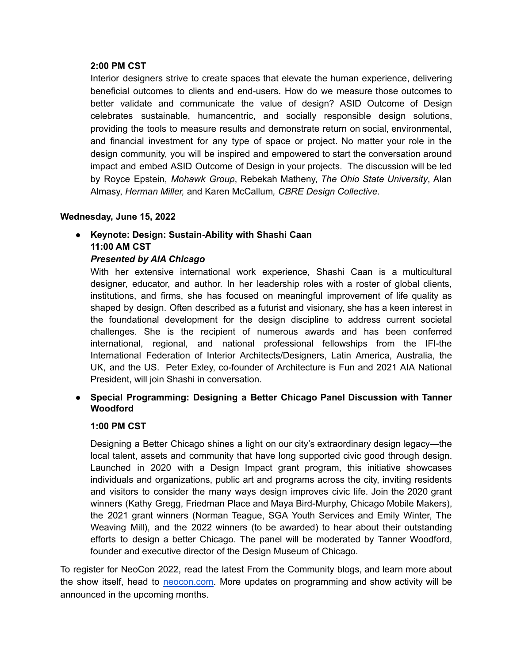#### **2:00 PM CST**

Interior designers strive to create spaces that elevate the human experience, delivering beneficial outcomes to clients and end-users. How do we measure those outcomes to better validate and communicate the value of design? ASID Outcome of Design celebrates sustainable, humancentric, and socially responsible design solutions, providing the tools to measure results and demonstrate return on social, environmental, and financial investment for any type of space or project. No matter your role in the design community, you will be inspired and empowered to start the conversation around impact and embed ASID Outcome of Design in your projects. The discussion will be led by Royce Epstein, *Mohawk Group*, Rebekah Matheny, *The Ohio State University*, Alan Almasy, *Herman Miller,* and Karen McCallum*, CBRE Design Collective*.

## **Wednesday, June 15, 2022**

**● Keynote: Design: Sustain-Ability with Shashi Caan 11:00 AM CST**

## *Presented by AIA Chicago*

With her extensive international work experience, Shashi Caan is a multicultural designer, educator, and author. In her leadership roles with a roster of global clients, institutions, and firms, she has focused on meaningful improvement of life quality as shaped by design. Often described as a futurist and visionary, she has a keen interest in the foundational development for the design discipline to address current societal challenges. She is the recipient of numerous awards and has been conferred international, regional, and national professional fellowships from the IFI-the International Federation of Interior Architects/Designers, Latin America, Australia, the UK, and the US. Peter Exley, co-founder of Architecture is Fun and 2021 AIA National President, will join Shashi in conversation.

**● Special Programming: Designing a Better Chicago Panel Discussion with Tanner Woodford**

#### **1:00 PM CST**

Designing a Better Chicago shines a light on our city's extraordinary design legacy—the local talent, assets and community that have long supported civic good through design. Launched in 2020 with a Design Impact grant program, this initiative showcases individuals and organizations, public art and programs across the city, inviting residents and visitors to consider the many ways design improves civic life. Join the 2020 grant winners (Kathy Gregg, Friedman Place and Maya Bird-Murphy, Chicago Mobile Makers), the 2021 grant winners (Norman Teague, SGA Youth Services and Emily Winter, The Weaving Mill), and the 2022 winners (to be awarded) to hear about their outstanding efforts to design a better Chicago. The panel will be moderated by Tanner Woodford, founder and executive director of the Design Museum of Chicago.

To register for NeoCon 2022, read the latest From the Community blogs, and learn more about the show itself, head to [neocon.com.](http://neocon.com.) More updates on programming and show activity will be announced in the upcoming months.